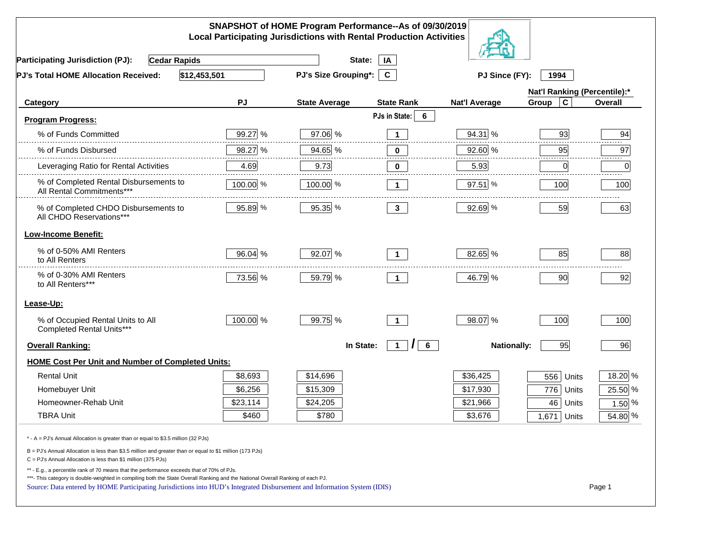|                                                                                                                                                                                                                                                                                                                                                          |          | SNAPSHOT of HOME Program Performance--As of 09/30/2019<br><b>Local Participating Jurisdictions with Rental Production Activities</b> |                                                  |                      |                              |                |
|----------------------------------------------------------------------------------------------------------------------------------------------------------------------------------------------------------------------------------------------------------------------------------------------------------------------------------------------------------|----------|--------------------------------------------------------------------------------------------------------------------------------------|--------------------------------------------------|----------------------|------------------------------|----------------|
| <b>Participating Jurisdiction (PJ):</b><br><b>Cedar Rapids</b>                                                                                                                                                                                                                                                                                           |          | State:                                                                                                                               | IA                                               |                      |                              |                |
| \$12,453,501<br>PJ's Total HOME Allocation Received:                                                                                                                                                                                                                                                                                                     |          | PJ's Size Grouping*:                                                                                                                 | $\mathbf{C}$                                     | PJ Since (FY):       | 1994                         |                |
|                                                                                                                                                                                                                                                                                                                                                          |          |                                                                                                                                      |                                                  |                      | Nat'l Ranking (Percentile):* |                |
| Category                                                                                                                                                                                                                                                                                                                                                 | PJ       | <b>State Average</b>                                                                                                                 | <b>State Rank</b>                                | <b>Nat'l Average</b> | $\mathbf c$<br>Group         | <b>Overall</b> |
| <b>Program Progress:</b>                                                                                                                                                                                                                                                                                                                                 |          |                                                                                                                                      | PJs in State:<br>6                               |                      |                              |                |
| % of Funds Committed                                                                                                                                                                                                                                                                                                                                     | 99.27 %  | 97.06 %                                                                                                                              | $\mathbf 1$                                      | 94.31 %              | 93                           | 94             |
| % of Funds Disbursed                                                                                                                                                                                                                                                                                                                                     | 98.27 %  | 94.65 %                                                                                                                              | 0                                                | 92.60 %              | 95                           | 97             |
| Leveraging Ratio for Rental Activities                                                                                                                                                                                                                                                                                                                   | 4.69     | 9.73                                                                                                                                 | 0                                                | 5.93                 | 0                            | .<br>0         |
| % of Completed Rental Disbursements to<br>All Rental Commitments***                                                                                                                                                                                                                                                                                      | 100.00 % | 100.00 %                                                                                                                             | $\mathbf 1$                                      | $97.51$ %            | 100                          | 100            |
| % of Completed CHDO Disbursements to<br>All CHDO Reservations***                                                                                                                                                                                                                                                                                         | 95.89 %  | 95.35 %                                                                                                                              | 3 <sup>1</sup>                                   | 92.69 %              | 59                           | 63             |
| <b>Low-Income Benefit:</b>                                                                                                                                                                                                                                                                                                                               |          |                                                                                                                                      |                                                  |                      |                              |                |
| % of 0-50% AMI Renters<br>to All Renters                                                                                                                                                                                                                                                                                                                 | 96.04 %  | 92.07 %                                                                                                                              | $\mathbf 1$                                      | 82.65 %              | 85                           | 88             |
| % of 0-30% AMI Renters<br>to All Renters***                                                                                                                                                                                                                                                                                                              | 73.56 %  | 59.79 %                                                                                                                              | $\mathbf 1$                                      | 46.79 %              | 90                           | 92             |
| Lease-Up:                                                                                                                                                                                                                                                                                                                                                |          |                                                                                                                                      |                                                  |                      |                              |                |
| % of Occupied Rental Units to All<br>Completed Rental Units***                                                                                                                                                                                                                                                                                           | 100.00 % | 99.75 %                                                                                                                              | $\mathbf{1}$                                     | 98.07 %              | 100                          | 100            |
| <b>Overall Ranking:</b>                                                                                                                                                                                                                                                                                                                                  |          | In State:                                                                                                                            | $\mathcal{L}$<br>$6\overline{6}$<br>$\mathbf{1}$ | <b>Nationally:</b>   | 95                           | 96             |
| <b>HOME Cost Per Unit and Number of Completed Units:</b>                                                                                                                                                                                                                                                                                                 |          |                                                                                                                                      |                                                  |                      |                              |                |
| <b>Rental Unit</b>                                                                                                                                                                                                                                                                                                                                       | \$8,693  | \$14,696                                                                                                                             |                                                  | \$36,425             | 556<br>Units                 | 18.20 %        |
| Homebuyer Unit                                                                                                                                                                                                                                                                                                                                           | \$6,256  | \$15,309                                                                                                                             |                                                  | \$17,930             | 776<br>Units                 | 25.50 %        |
| Homeowner-Rehab Unit                                                                                                                                                                                                                                                                                                                                     | \$23,114 | \$24,205                                                                                                                             |                                                  | \$21,966             | 46<br>Units                  | 1.50 $%$       |
| <b>TBRA Unit</b>                                                                                                                                                                                                                                                                                                                                         | \$460    | \$780                                                                                                                                |                                                  | \$3,676              | 1,671 Units                  | 54.80 %        |
| * - A = PJ's Annual Allocation is greater than or equal to \$3.5 million (32 PJs)                                                                                                                                                                                                                                                                        |          |                                                                                                                                      |                                                  |                      |                              |                |
| B = PJ's Annual Allocation is less than \$3.5 million and greater than or equal to \$1 million (173 PJs)<br>C = PJ's Annual Allocation is less than \$1 million (375 PJs)                                                                                                                                                                                |          |                                                                                                                                      |                                                  |                      |                              |                |
| ** - E.g., a percentile rank of 70 means that the performance exceeds that of 70% of PJs.<br>***- This category is double-weighted in compiling both the State Overall Ranking and the National Overall Ranking of each PJ.<br>Source: Data entered by HOME Participating Jurisdictions into HUD's Integrated Disbursement and Information System (IDIS) |          |                                                                                                                                      |                                                  |                      |                              | Page 1         |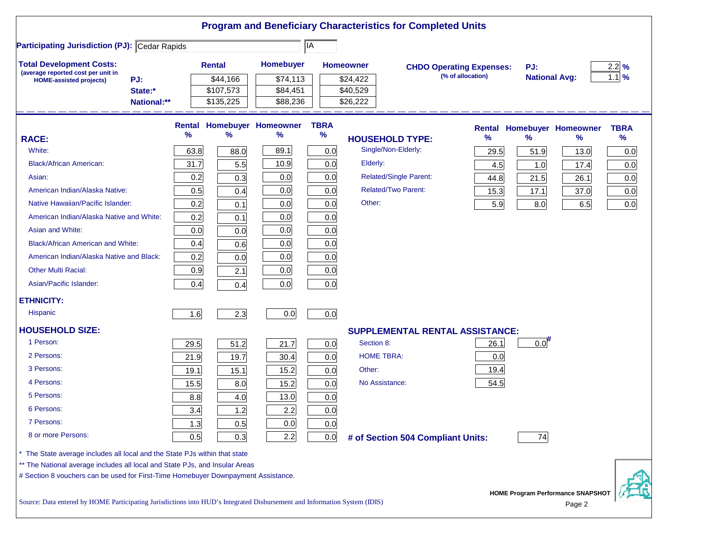|                                                                                                                           |      |               |                            |             | <b>Program and Beneficiary Characteristics for Completed Units</b> |                                 |                    |                                                    |                  |
|---------------------------------------------------------------------------------------------------------------------------|------|---------------|----------------------------|-------------|--------------------------------------------------------------------|---------------------------------|--------------------|----------------------------------------------------|------------------|
| <b>Participating Jurisdiction (PJ): Cedar Rapids</b>                                                                      |      |               |                            | ∥IA         |                                                                    |                                 |                    |                                                    |                  |
| <b>Total Development Costs:</b>                                                                                           |      | <b>Rental</b> | Homebuyer                  |             | <b>Homeowner</b>                                                   | <b>CHDO Operating Expenses:</b> | PJ:                |                                                    | $2.2\frac{9}{6}$ |
| (average reported cost per unit in<br>PJ:<br><b>HOME-assisted projects)</b>                                               |      | \$44,166      | \$74,113                   |             | \$24,422                                                           | (% of allocation)               |                    | <b>National Avg:</b>                               | $1.1$ %          |
| State:*                                                                                                                   |      | \$107,573     | \$84,451                   |             | \$40,529                                                           |                                 |                    |                                                    |                  |
| National:**                                                                                                               |      | \$135,225     | \$88,236                   |             | \$26,222                                                           |                                 |                    |                                                    |                  |
|                                                                                                                           |      |               | Rental Homebuyer Homeowner | <b>TBRA</b> |                                                                    | <b>Rental</b>                   |                    | <b>Homebuyer Homeowner</b>                         | <b>TBRA</b>      |
| <b>RACE:</b>                                                                                                              | %    | %             | %                          | $\%$        | <b>HOUSEHOLD TYPE:</b>                                             | %                               | $\frac{9}{6}$      | ℅                                                  | %                |
| White:                                                                                                                    | 63.8 | 88.0          | 89.1                       | 0.0         | Single/Non-Elderly:                                                | 29.5                            | 51.9               | 13.0                                               | 0.0              |
| <b>Black/African American:</b>                                                                                            | 31.7 | 5.5           | 10.9                       | 0.0         | Elderly:                                                           | 4.5                             | 1.0                | 17.4                                               | 0.0              |
| Asian:                                                                                                                    | 0.2  | 0.3           | 0.0                        | 0.0         | <b>Related/Single Parent:</b>                                      | 44.8                            | 21.5               | 26.1                                               | 0.0              |
| American Indian/Alaska Native:                                                                                            | 0.5  | 0.4           | 0.0                        | 0.0         | <b>Related/Two Parent:</b>                                         | 15.3                            | 17.1               | 37.0                                               | 0.0              |
| Native Hawaiian/Pacific Islander:                                                                                         | 0.2  | 0.1           | 0.0                        | 0.0         | Other:                                                             | 5.9                             | 8.0                | 6.5                                                | 0.0              |
| American Indian/Alaska Native and White:                                                                                  | 0.2  | 0.1           | 0.0                        | 0.0         |                                                                    |                                 |                    |                                                    |                  |
| Asian and White:                                                                                                          | 0.0  | 0.0           | 0.0                        | 0.0         |                                                                    |                                 |                    |                                                    |                  |
| <b>Black/African American and White:</b>                                                                                  | 0.4  | 0.6           | 0.0                        | 0.0         |                                                                    |                                 |                    |                                                    |                  |
| American Indian/Alaska Native and Black:                                                                                  | 0.2  | 0.0           | 0.0                        | 0.0         |                                                                    |                                 |                    |                                                    |                  |
| <b>Other Multi Racial:</b>                                                                                                | 0.9  | 2.1           | 0.0                        | 0.0         |                                                                    |                                 |                    |                                                    |                  |
| Asian/Pacific Islander:                                                                                                   | 0.4  | 0.4           | 0.0                        | 0.0         |                                                                    |                                 |                    |                                                    |                  |
| <b>ETHNICITY:</b>                                                                                                         |      |               |                            |             |                                                                    |                                 |                    |                                                    |                  |
| <b>Hispanic</b>                                                                                                           | 1.6  | 2.3           | 0.0                        | 0.0         |                                                                    |                                 |                    |                                                    |                  |
| <b>HOUSEHOLD SIZE:</b>                                                                                                    |      |               |                            |             | <b>SUPPLEMENTAL RENTAL ASSISTANCE:</b>                             |                                 |                    |                                                    |                  |
| 1 Person:                                                                                                                 | 29.5 | 51.2          | 21.7                       | 0.0         | Section 8:                                                         | 26.1                            | $0.0$ <sup>#</sup> |                                                    |                  |
| 2 Persons:                                                                                                                | 21.9 | 19.7          | 30.4                       | 0.0         | <b>HOME TBRA:</b>                                                  | 0.0                             |                    |                                                    |                  |
| 3 Persons:                                                                                                                | 19.1 | 15.1          | 15.2                       | 0.0         | Other:                                                             | 19.4                            |                    |                                                    |                  |
| 4 Persons:                                                                                                                | 15.5 | 8.0           | 15.2                       | 0.0         | No Assistance:                                                     | 54.5                            |                    |                                                    |                  |
| 5 Persons:                                                                                                                | 8.8  | 4.0           | 13.0                       | 0.0         |                                                                    |                                 |                    |                                                    |                  |
| 6 Persons:                                                                                                                | 3.4  | 1.2           | 2.2                        | 0.0         |                                                                    |                                 |                    |                                                    |                  |
| 7 Persons:                                                                                                                | 1.3  | 0.5           | 0.0                        | 0.0         |                                                                    |                                 |                    |                                                    |                  |
| 8 or more Persons:                                                                                                        | 0.5  | 0.3           | 2.2                        | 0.0         | # of Section 504 Compliant Units:                                  |                                 | 74                 |                                                    |                  |
| The State average includes all local and the State PJs within that state                                                  |      |               |                            |             |                                                                    |                                 |                    |                                                    |                  |
| ** The National average includes all local and State PJs, and Insular Areas                                               |      |               |                            |             |                                                                    |                                 |                    |                                                    |                  |
| # Section 8 vouchers can be used for First-Time Homebuyer Downpayment Assistance.                                         |      |               |                            |             |                                                                    |                                 |                    |                                                    |                  |
| Source: Data entered by HOME Participating Jurisdictions into HUD's Integrated Disbursement and Information System (IDIS) |      |               |                            |             |                                                                    |                                 |                    | <b>HOME Program Performance SNAPSHOT</b><br>Page 2 |                  |